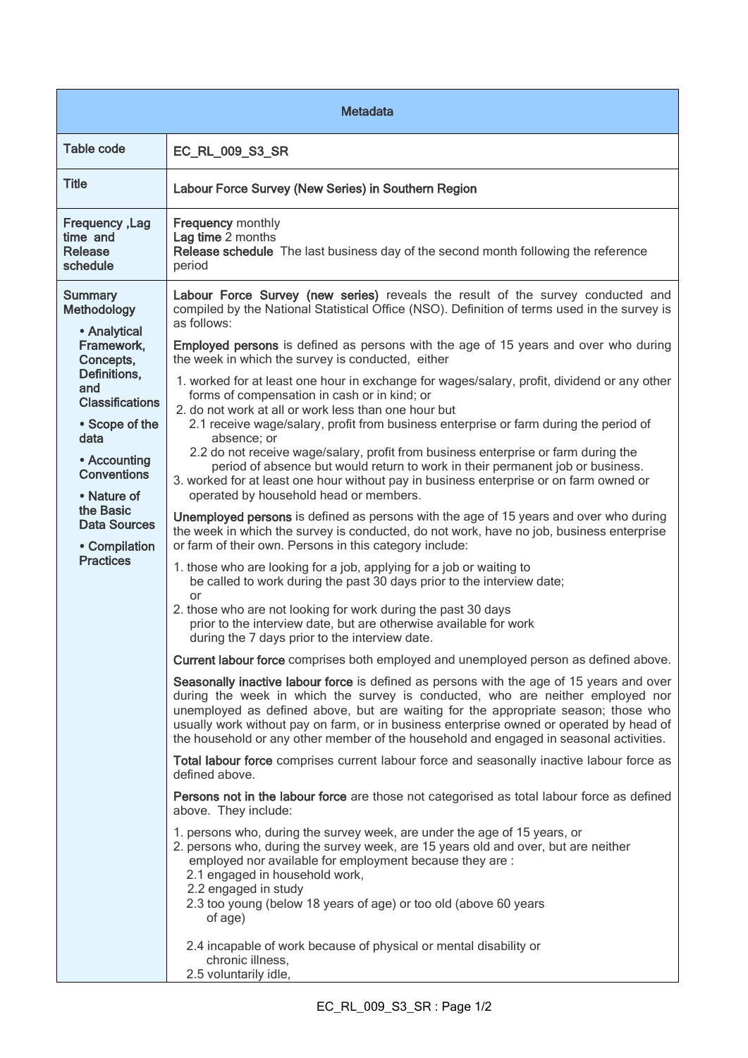| Metadata                                                                                                                                                                                                                                                                          |                                                                                                                                                                                                                                                                                                                                                                                                                                                                                                                                                                                                                                                                                                                                                                                                                                                                                                                                                                                                                                                                                                                                                                                                                                                                                                                                                                                                                                                                                                                                                                                                                                                                                                                                                                                                                                                                                                                                                                                                                                                                                                                                                                                                                                                                                                                                                                                                                                                                                                                                                                                                                                                                                                                                                                                                                                             |  |
|-----------------------------------------------------------------------------------------------------------------------------------------------------------------------------------------------------------------------------------------------------------------------------------|---------------------------------------------------------------------------------------------------------------------------------------------------------------------------------------------------------------------------------------------------------------------------------------------------------------------------------------------------------------------------------------------------------------------------------------------------------------------------------------------------------------------------------------------------------------------------------------------------------------------------------------------------------------------------------------------------------------------------------------------------------------------------------------------------------------------------------------------------------------------------------------------------------------------------------------------------------------------------------------------------------------------------------------------------------------------------------------------------------------------------------------------------------------------------------------------------------------------------------------------------------------------------------------------------------------------------------------------------------------------------------------------------------------------------------------------------------------------------------------------------------------------------------------------------------------------------------------------------------------------------------------------------------------------------------------------------------------------------------------------------------------------------------------------------------------------------------------------------------------------------------------------------------------------------------------------------------------------------------------------------------------------------------------------------------------------------------------------------------------------------------------------------------------------------------------------------------------------------------------------------------------------------------------------------------------------------------------------------------------------------------------------------------------------------------------------------------------------------------------------------------------------------------------------------------------------------------------------------------------------------------------------------------------------------------------------------------------------------------------------------------------------------------------------------------------------------------------------|--|
| <b>Table code</b>                                                                                                                                                                                                                                                                 | EC_RL_009_S3_SR                                                                                                                                                                                                                                                                                                                                                                                                                                                                                                                                                                                                                                                                                                                                                                                                                                                                                                                                                                                                                                                                                                                                                                                                                                                                                                                                                                                                                                                                                                                                                                                                                                                                                                                                                                                                                                                                                                                                                                                                                                                                                                                                                                                                                                                                                                                                                                                                                                                                                                                                                                                                                                                                                                                                                                                                                             |  |
| <b>Title</b>                                                                                                                                                                                                                                                                      | Labour Force Survey (New Series) in Southern Region                                                                                                                                                                                                                                                                                                                                                                                                                                                                                                                                                                                                                                                                                                                                                                                                                                                                                                                                                                                                                                                                                                                                                                                                                                                                                                                                                                                                                                                                                                                                                                                                                                                                                                                                                                                                                                                                                                                                                                                                                                                                                                                                                                                                                                                                                                                                                                                                                                                                                                                                                                                                                                                                                                                                                                                         |  |
| Frequency, Lag<br>time and<br><b>Release</b><br>schedule                                                                                                                                                                                                                          | <b>Frequency monthly</b><br>Lag time 2 months<br>Release schedule The last business day of the second month following the reference<br>period                                                                                                                                                                                                                                                                                                                                                                                                                                                                                                                                                                                                                                                                                                                                                                                                                                                                                                                                                                                                                                                                                                                                                                                                                                                                                                                                                                                                                                                                                                                                                                                                                                                                                                                                                                                                                                                                                                                                                                                                                                                                                                                                                                                                                                                                                                                                                                                                                                                                                                                                                                                                                                                                                               |  |
| <b>Summary</b><br><b>Methodology</b><br>• Analytical<br>Framework,<br>Concepts,<br>Definitions,<br>and<br><b>Classifications</b><br>• Scope of the<br>data<br>• Accounting<br><b>Conventions</b><br>• Nature of<br>the Basic<br>Data Sources<br>• Compilation<br><b>Practices</b> | Labour Force Survey (new series) reveals the result of the survey conducted and<br>compiled by the National Statistical Office (NSO). Definition of terms used in the survey is<br>as follows:<br><b>Employed persons</b> is defined as persons with the age of 15 years and over who during<br>the week in which the survey is conducted, either<br>1. worked for at least one hour in exchange for wages/salary, profit, dividend or any other<br>forms of compensation in cash or in kind; or<br>2. do not work at all or work less than one hour but<br>2.1 receive wage/salary, profit from business enterprise or farm during the period of<br>absence; or<br>2.2 do not receive wage/salary, profit from business enterprise or farm during the<br>period of absence but would return to work in their permanent job or business.<br>3. worked for at least one hour without pay in business enterprise or on farm owned or<br>operated by household head or members.<br><b>Unemployed persons</b> is defined as persons with the age of 15 years and over who during<br>the week in which the survey is conducted, do not work, have no job, business enterprise<br>or farm of their own. Persons in this category include:<br>1. those who are looking for a job, applying for a job or waiting to<br>be called to work during the past 30 days prior to the interview date;<br>or<br>2. those who are not looking for work during the past 30 days<br>prior to the interview date, but are otherwise available for work<br>during the 7 days prior to the interview date.<br>Current labour force comprises both employed and unemployed person as defined above.<br>Seasonally inactive labour force is defined as persons with the age of 15 years and over<br>during the week in which the survey is conducted, who are neither employed nor<br>unemployed as defined above, but are waiting for the appropriate season; those who<br>usually work without pay on farm, or in business enterprise owned or operated by head of<br>the household or any other member of the household and engaged in seasonal activities.<br>Total labour force comprises current labour force and seasonally inactive labour force as<br>defined above.<br>Persons not in the labour force are those not categorised as total labour force as defined<br>above. They include:<br>1. persons who, during the survey week, are under the age of 15 years, or<br>2. persons who, during the survey week, are 15 years old and over, but are neither<br>employed nor available for employment because they are :<br>2.1 engaged in household work,<br>2.2 engaged in study<br>2.3 too young (below 18 years of age) or too old (above 60 years<br>of age)<br>2.4 incapable of work because of physical or mental disability or<br>chronic illness, |  |
|                                                                                                                                                                                                                                                                                   | 2.5 voluntarily idle,                                                                                                                                                                                                                                                                                                                                                                                                                                                                                                                                                                                                                                                                                                                                                                                                                                                                                                                                                                                                                                                                                                                                                                                                                                                                                                                                                                                                                                                                                                                                                                                                                                                                                                                                                                                                                                                                                                                                                                                                                                                                                                                                                                                                                                                                                                                                                                                                                                                                                                                                                                                                                                                                                                                                                                                                                       |  |